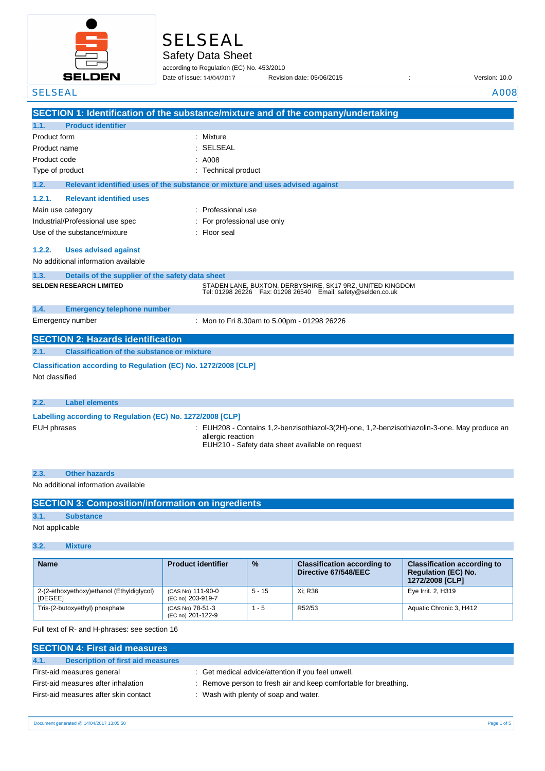

# SELSEAL

Safety Data Sheet

according to Regulation (EC) No. 453/2010 Date of issue: Revision date: 05/06/2015 : Version: 10.0 Date of issue: 14/04/2017

SELSEAL A008

|                                                            | SECTION 1: Identification of the substance/mixture and of the company/undertaking                                               |
|------------------------------------------------------------|---------------------------------------------------------------------------------------------------------------------------------|
| <b>Product identifier</b><br>1.1.                          |                                                                                                                                 |
| Product form                                               | : Mixture                                                                                                                       |
| Product name                                               | : SELSEAL                                                                                                                       |
| Product code                                               | : A008                                                                                                                          |
| Type of product                                            | : Technical product                                                                                                             |
| 1.2.                                                       | Relevant identified uses of the substance or mixture and uses advised against                                                   |
| <b>Relevant identified uses</b><br>1.2.1.                  |                                                                                                                                 |
| Main use category                                          | : Professional use                                                                                                              |
| Industrial/Professional use spec                           | : For professional use only                                                                                                     |
| Use of the substance/mixture                               | : Floor seal                                                                                                                    |
| <b>Uses advised against</b><br>1.2.2.                      |                                                                                                                                 |
| No additional information available                        |                                                                                                                                 |
| 1.3.                                                       | Details of the supplier of the safety data sheet                                                                                |
| <b>SELDEN RESEARCH LIMITED</b>                             | STADEN LANE, BUXTON, DERBYSHIRE, SK17 9RZ, UNITED KINGDOM<br>Tel: 01298 26226    Fax: 01298 26540    Email: safety@selden.co.uk |
| 1.4.<br><b>Emergency telephone number</b>                  |                                                                                                                                 |
| Emergency number                                           | Mon to Fri 8.30am to 5.00pm - 01298 26226                                                                                       |
| <b>SECTION 2: Hazards identification</b>                   |                                                                                                                                 |
| <b>Classification of the substance or mixture</b><br>2.1.  |                                                                                                                                 |
| Not classified                                             | Classification according to Regulation (EC) No. 1272/2008 [CLP]                                                                 |
| 2.2.<br><b>Label elements</b>                              |                                                                                                                                 |
| Labelling according to Regulation (EC) No. 1272/2008 [CLP] |                                                                                                                                 |

|  | Labelling accord |  |
|--|------------------|--|
|  |                  |  |

- EUH phrases **in the state of the CONTA** : EUH208 Contains 1,2-benzisothiazol-3(2H)-one, 1,2-benzisothiazolin-3-one. May produce an allergic reaction
	- EUH210 Safety data sheet available on request

| <b>Other hazards</b>                |  |  |  |
|-------------------------------------|--|--|--|
| No additional information available |  |  |  |

|                | <b>SECTION 3: Composition/information on ingredients</b> |
|----------------|----------------------------------------------------------|
| 3.1.           | <b>Substance</b>                                         |
| Not applicable |                                                          |

## **3.2. Mixture**

| <b>Name</b>                                                 | <b>Product identifier</b>              | $\frac{9}{6}$ | <b>Classification according to</b><br>Directive 67/548/EEC | <b>Classification according to</b><br><b>Regulation (EC) No.</b><br>1272/2008 [CLP] |
|-------------------------------------------------------------|----------------------------------------|---------------|------------------------------------------------------------|-------------------------------------------------------------------------------------|
| 2-(2-ethoxyethoxy)ethanol (Ethyldiglycol)<br><b>IDEGEE1</b> | (CAS No) 111-90-0<br>(EC no) 203-919-7 | $5 - 15$      | Xi: R36                                                    | Eye Irrit. 2, H319                                                                  |
| Tris-(2-butoxyethyl) phosphate                              | (CAS No) 78-51-3<br>(EC no) 201-122-9  | - 5           | R52/53                                                     | Aquatic Chronic 3, H412                                                             |

Full text of R- and H-phrases: see section 16

| <b>SECTION 4: First aid measures</b>      |                                                                  |  |  |  |
|-------------------------------------------|------------------------------------------------------------------|--|--|--|
| 4.1.<br>Description of first aid measures |                                                                  |  |  |  |
| First-aid measures general                | : Get medical advice/attention if you feel unwell.               |  |  |  |
| First-aid measures after inhalation       | : Remove person to fresh air and keep comfortable for breathing. |  |  |  |
| First-aid measures after skin contact     | : Wash with plenty of soap and water.                            |  |  |  |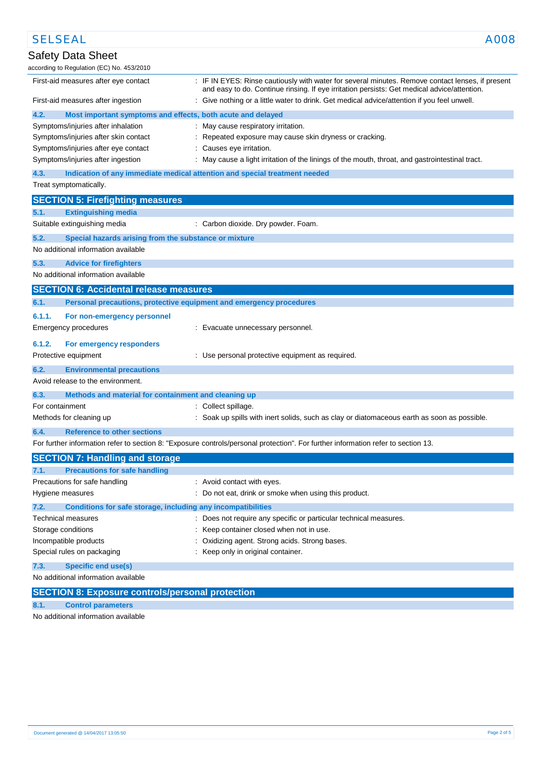| <b>SELSEAL</b>                                                                     | A008                                                                                                                                                                                            |
|------------------------------------------------------------------------------------|-------------------------------------------------------------------------------------------------------------------------------------------------------------------------------------------------|
| Safety Data Sheet<br>according to Regulation (EC) No. 453/2010                     |                                                                                                                                                                                                 |
| First-aid measures after eye contact                                               | : IF IN EYES: Rinse cautiously with water for several minutes. Remove contact lenses, if present<br>and easy to do. Continue rinsing. If eye irritation persists: Get medical advice/attention. |
| First-aid measures after ingestion                                                 | : Give nothing or a little water to drink. Get medical advice/attention if you feel unwell.                                                                                                     |
| 4.2.<br>Most important symptoms and effects, both acute and delayed                |                                                                                                                                                                                                 |
| Symptoms/injuries after inhalation                                                 | : May cause respiratory irritation.                                                                                                                                                             |
| Symptoms/injuries after skin contact                                               | Repeated exposure may cause skin dryness or cracking.                                                                                                                                           |
| Symptoms/injuries after eye contact                                                | Causes eye irritation.                                                                                                                                                                          |
| Symptoms/injuries after ingestion                                                  | May cause a light irritation of the linings of the mouth, throat, and gastrointestinal tract.                                                                                                   |
| 4.3.<br>Indication of any immediate medical attention and special treatment needed |                                                                                                                                                                                                 |
| Treat symptomatically.                                                             |                                                                                                                                                                                                 |
| <b>SECTION 5: Firefighting measures</b>                                            |                                                                                                                                                                                                 |
| 5.1.<br><b>Extinguishing media</b>                                                 |                                                                                                                                                                                                 |
| Suitable extinguishing media                                                       | : Carbon dioxide. Dry powder. Foam.                                                                                                                                                             |
| 5.2.<br>Special hazards arising from the substance or mixture                      |                                                                                                                                                                                                 |
| No additional information available                                                |                                                                                                                                                                                                 |
| 5.3.<br><b>Advice for firefighters</b>                                             |                                                                                                                                                                                                 |
| No additional information available                                                |                                                                                                                                                                                                 |
| <b>SECTION 6: Accidental release measures</b>                                      |                                                                                                                                                                                                 |
| 6.1.<br>Personal precautions, protective equipment and emergency procedures        |                                                                                                                                                                                                 |
| 6.1.1.<br>For non-emergency personnel                                              |                                                                                                                                                                                                 |
| Emergency procedures                                                               | : Evacuate unnecessary personnel.                                                                                                                                                               |
| 6.1.2.<br>For emergency responders                                                 |                                                                                                                                                                                                 |
| Protective equipment                                                               | : Use personal protective equipment as required.                                                                                                                                                |
| 6.2.<br><b>Environmental precautions</b>                                           |                                                                                                                                                                                                 |
| Avoid release to the environment.                                                  |                                                                                                                                                                                                 |
| 6.3.<br>Methods and material for containment and cleaning up                       |                                                                                                                                                                                                 |
| For containment                                                                    | : Collect spillage.                                                                                                                                                                             |
| Methods for cleaning up                                                            | : Soak up spills with inert solids, such as clay or diatomaceous earth as soon as possible.                                                                                                     |
| 6.4.<br><b>Reference to other sections</b>                                         |                                                                                                                                                                                                 |
|                                                                                    | For further information refer to section 8: "Exposure controls/personal protection". For further information refer to section 13.                                                               |
| <b>SECTION 7: Handling and storage</b>                                             |                                                                                                                                                                                                 |
| <b>Precautions for safe handling</b><br>7.1.                                       |                                                                                                                                                                                                 |
| Precautions for safe handling                                                      | : Avoid contact with eyes.                                                                                                                                                                      |
| Hygiene measures                                                                   | : Do not eat, drink or smoke when using this product.                                                                                                                                           |
| 7.2.<br>Conditions for safe storage, including any incompatibilities               |                                                                                                                                                                                                 |
| Technical measures                                                                 | : Does not require any specific or particular technical measures.                                                                                                                               |
| Storage conditions                                                                 | Keep container closed when not in use.                                                                                                                                                          |
| Incompatible products                                                              | Oxidizing agent. Strong acids. Strong bases.                                                                                                                                                    |
| Special rules on packaging                                                         | Keep only in original container.                                                                                                                                                                |
| <b>Specific end use(s)</b><br>7.3.                                                 |                                                                                                                                                                                                 |
| No additional information available                                                |                                                                                                                                                                                                 |
| <b>SECTION 8: Exposure controls/personal protection</b>                            |                                                                                                                                                                                                 |

**8.1. Control parameters**

No additional information available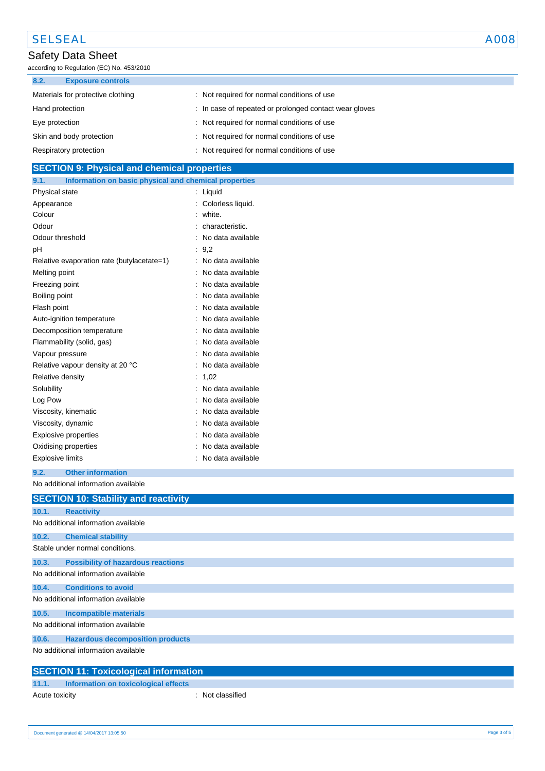# SELSEAL A008

### Safety Data Sheet

according to Regulation (EC) No. 453/2010

| 8.2.<br><b>Exposure controls</b>  |                                                        |
|-----------------------------------|--------------------------------------------------------|
| Materials for protective clothing | Not required for normal conditions of use              |
| Hand protection                   | : In case of repeated or prolonged contact wear gloves |
| Eye protection                    | : Not required for normal conditions of use            |
| Skin and body protection          | : Not required for normal conditions of use            |
| Respiratory protection            | Not required for normal conditions of use              |

### **SECTION 9: Physical and chemical properties**

| 9.1.<br>Information on basic physical and chemical properties |    |                   |
|---------------------------------------------------------------|----|-------------------|
| Physical state                                                | ÷. | Liquid            |
| Appearance                                                    |    | Colorless liquid. |
| Colour                                                        |    | white.            |
| Odour                                                         |    | characteristic.   |
| Odour threshold                                               |    | No data available |
| рH                                                            |    | 9,2               |
| Relative evaporation rate (butylacetate=1)                    |    | No data available |
| Melting point                                                 |    | No data available |
| Freezing point                                                |    | No data available |
| Boiling point                                                 |    | No data available |
| Flash point                                                   |    | No data available |
| Auto-ignition temperature                                     |    | No data available |
| Decomposition temperature                                     |    | No data available |
| Flammability (solid, gas)                                     |    | No data available |
| Vapour pressure                                               |    | No data available |
| Relative vapour density at 20 °C                              |    | No data available |
| Relative density                                              |    | 1.02              |
| Solubility                                                    |    | No data available |
| Log Pow                                                       |    | No data available |
| Viscosity, kinematic                                          |    | No data available |
| Viscosity, dynamic                                            |    | No data available |
| Explosive properties                                          |    | No data available |
| Oxidising properties                                          |    | No data available |
| <b>Explosive limits</b>                                       |    | No data available |

#### **9.2. Other information**

No additional information available

|       | <b>SECTION 10: Stability and reactivity</b>  |
|-------|----------------------------------------------|
| 10.1. | <b>Reactivity</b>                            |
|       | No additional information available          |
| 10.2. | <b>Chemical stability</b>                    |
|       | Stable under normal conditions.              |
| 10.3. | <b>Possibility of hazardous reactions</b>    |
|       | No additional information available          |
| 10.4. | <b>Conditions to avoid</b>                   |
|       | No additional information available          |
| 10.5. | <b>Incompatible materials</b>                |
|       | No additional information available          |
| 10.6. | <b>Hazardous decomposition products</b>      |
|       | No additional information available          |
|       | <b>SECTION 11: Toxicological information</b> |

### **11.1. Information on toxicological effects** Acute toxicity **and a set of the contract of the contract of the contract of the contract of the contract of the contract of the contract of the contract of the contract of the contract of the contract of the contract of t**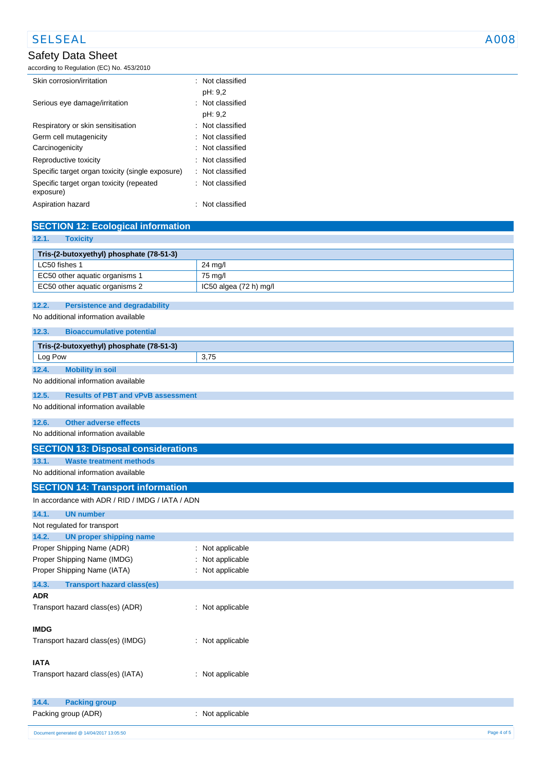# SELSEAL A008

### Safety Data Sheet

according to Regulation (EC) No. 453/2010

| Skin corrosion/irritation                             | $\therefore$ Not classified |
|-------------------------------------------------------|-----------------------------|
|                                                       | pH: 9,2                     |
| Serious eye damage/irritation                         | : Not classified            |
|                                                       | pH: 9,2                     |
| Respiratory or skin sensitisation                     | Not classified              |
| Germ cell mutagenicity                                | : Not classified            |
| Carcinogenicity                                       | $\therefore$ Not classified |
| Reproductive toxicity                                 | $\therefore$ Not classified |
| Specific target organ toxicity (single exposure)      | : Not classified            |
| Specific target organ toxicity (repeated<br>exposure) | : Not classified            |
| Aspiration hazard                                     | Not classified              |

| <b>SECTION 12: Ecological information</b>                                      |                        |
|--------------------------------------------------------------------------------|------------------------|
| 12.1.<br><b>Toxicity</b>                                                       |                        |
| Tris-(2-butoxyethyl) phosphate (78-51-3)                                       |                        |
| LC50 fishes 1                                                                  | 24 mg/l                |
| EC50 other aquatic organisms 1                                                 | 75 mg/l                |
| EC50 other aquatic organisms 2                                                 | IC50 algea (72 h) mg/l |
|                                                                                |                        |
| 12.2.<br><b>Persistence and degradability</b>                                  |                        |
| No additional information available                                            |                        |
| 12.3.<br><b>Bioaccumulative potential</b>                                      |                        |
| Tris-(2-butoxyethyl) phosphate (78-51-3)                                       |                        |
| Log Pow                                                                        | 3,75                   |
| <b>Mobility in soil</b><br>12.4.                                               |                        |
| No additional information available                                            |                        |
| <b>Results of PBT and vPvB assessment</b><br>12.5.                             |                        |
| No additional information available                                            |                        |
| 12.6.<br><b>Other adverse effects</b>                                          |                        |
| No additional information available                                            |                        |
|                                                                                |                        |
| <b>SECTION 13: Disposal considerations</b>                                     |                        |
| 13.1.<br><b>Waste treatment methods</b><br>No additional information available |                        |
|                                                                                |                        |
| <b>SECTION 14: Transport information</b>                                       |                        |
| In accordance with ADR / RID / IMDG / IATA / ADN                               |                        |
| <b>UN number</b><br>14.1.                                                      |                        |
| Not regulated for transport                                                    |                        |
| <b>UN proper shipping name</b><br>14.2.                                        |                        |
| Proper Shipping Name (ADR)                                                     | Not applicable         |
| Proper Shipping Name (IMDG)                                                    | Not applicable         |
| Proper Shipping Name (IATA)                                                    | Not applicable         |
| 14.3.<br><b>Transport hazard class(es)</b>                                     |                        |
| <b>ADR</b>                                                                     |                        |
| Transport hazard class(es) (ADR)                                               | : Not applicable       |
|                                                                                |                        |
| <b>IMDG</b>                                                                    |                        |
| Transport hazard class(es) (IMDG)                                              | : Not applicable       |
| <b>IATA</b>                                                                    |                        |
| Transport hazard class(es) (IATA)                                              | : Not applicable       |
|                                                                                |                        |
|                                                                                |                        |
| <b>Packing group</b><br>14.4.                                                  |                        |
| Packing group (ADR)                                                            | : Not applicable       |